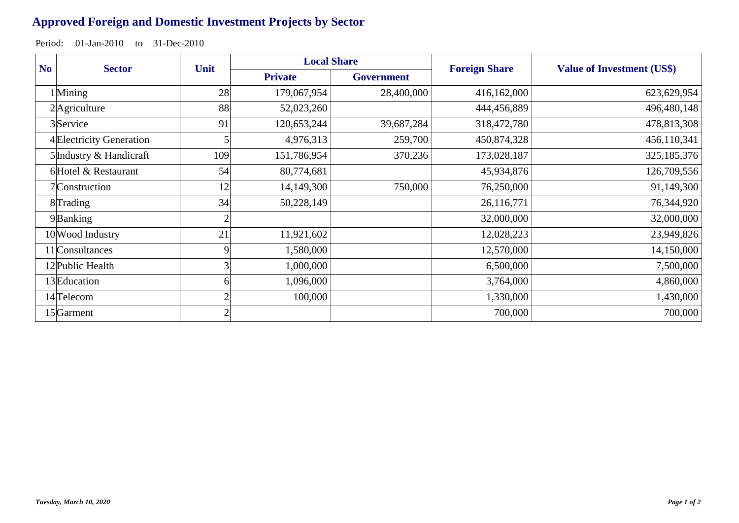## **Approved Foreign and Domestic Investment Projects by Sector**

Period: 01-Jan-2010 to 31-Dec-2010

| N <sub>o</sub> | <b>Sector</b>            | Unit | <b>Local Share</b> |                   | <b>Foreign Share</b> | <b>Value of Investment (US\$)</b> |
|----------------|--------------------------|------|--------------------|-------------------|----------------------|-----------------------------------|
|                |                          |      | <b>Private</b>     | <b>Government</b> |                      |                                   |
|                | $1$ Mining               | 28   | 179,067,954        | 28,400,000        | 416,162,000          | 623,629,954                       |
| 2 Agriculture  |                          | 88   | 52,023,260         |                   | 444,456,889          | 496,480,148                       |
|                | 3 Service                | 91   | 120,653,244        | 39,687,284        | 318,472,780          | 478,813,308                       |
|                | 4 Electricity Generation |      | 4,976,313          | 259,700           | 450,874,328          | 456,110,341                       |
|                | 5 Industry & Handicraft  | 109  | 151,786,954        | 370,236           | 173,028,187          | 325, 185, 376                     |
|                | 6 Hotel & Restaurant     | 54   | 80,774,681         |                   | 45,934,876           | 126,709,556                       |
|                | 7 Construction           | 12   | 14,149,300         | 750,000           | 76,250,000           | 91,149,300                        |
|                | 8Trading                 | 34   | 50,228,149         |                   | 26,116,771           | 76,344,920                        |
|                | 9Banking                 |      |                    |                   | 32,000,000           | 32,000,000                        |
|                | 10 Wood Industry         | 21   | 11,921,602         |                   | 12,028,223           | 23,949,826                        |
|                | 11 Consultances          | 9    | 1,580,000          |                   | 12,570,000           | 14,150,000                        |
|                | 12 Public Health         |      | 1,000,000          |                   | 6,500,000            | 7,500,000                         |
|                | 13 Education             |      | 1,096,000          |                   | 3,764,000            | 4,860,000                         |
|                | 14 Telecom               |      | 100,000            |                   | 1,330,000            | 1,430,000                         |
|                | 15 <sup>Garment</sup>    |      |                    |                   | 700,000              | 700,000                           |